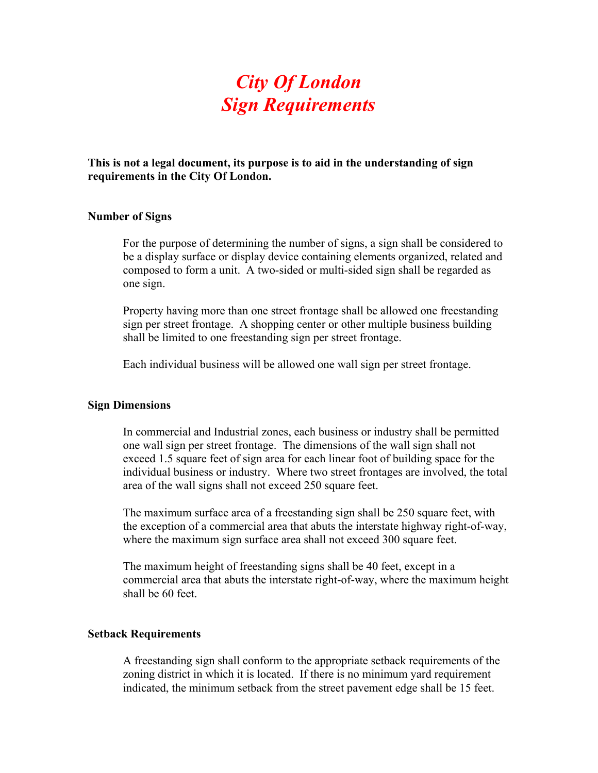# *City Of London Sign Requirements*

**This is not a legal document, its purpose is to aid in the understanding of sign requirements in the City Of London.** 

#### **Number of Signs**

For the purpose of determining the number of signs, a sign shall be considered to be a display surface or display device containing elements organized, related and composed to form a unit. A two-sided or multi-sided sign shall be regarded as one sign.

Property having more than one street frontage shall be allowed one freestanding sign per street frontage. A shopping center or other multiple business building shall be limited to one freestanding sign per street frontage.

Each individual business will be allowed one wall sign per street frontage.

#### **Sign Dimensions**

In commercial and Industrial zones, each business or industry shall be permitted one wall sign per street frontage. The dimensions of the wall sign shall not exceed 1.5 square feet of sign area for each linear foot of building space for the individual business or industry. Where two street frontages are involved, the total area of the wall signs shall not exceed 250 square feet.

The maximum surface area of a freestanding sign shall be 250 square feet, with the exception of a commercial area that abuts the interstate highway right-of-way, where the maximum sign surface area shall not exceed 300 square feet.

The maximum height of freestanding signs shall be 40 feet, except in a commercial area that abuts the interstate right-of-way, where the maximum height shall be 60 feet.

#### **Setback Requirements**

A freestanding sign shall conform to the appropriate setback requirements of the zoning district in which it is located. If there is no minimum yard requirement indicated, the minimum setback from the street pavement edge shall be 15 feet.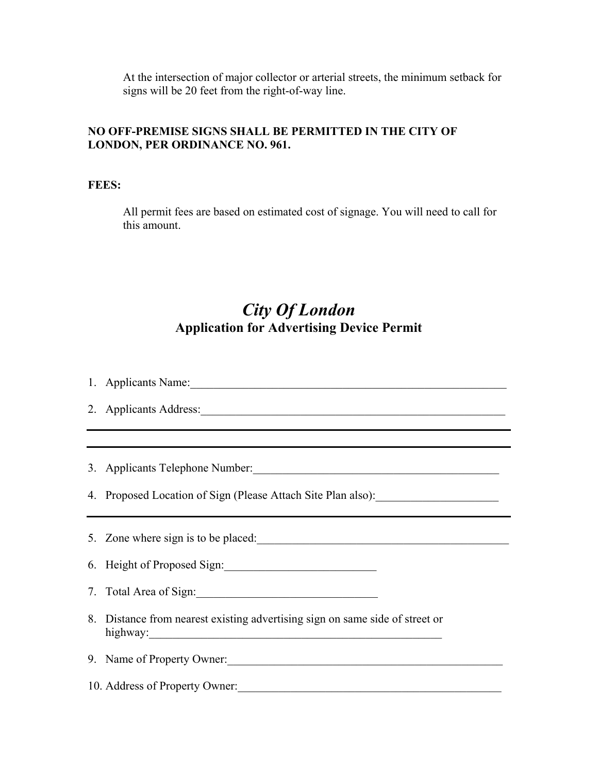At the intersection of major collector or arterial streets, the minimum setback for signs will be 20 feet from the right-of-way line.

### **NO OFF-PREMISE SIGNS SHALL BE PERMITTED IN THE CITY OF LONDON, PER ORDINANCE NO. 961.**

**FEES:** 

All permit fees are based on estimated cost of signage. You will need to call for this amount.

## *City Of London*  **Application for Advertising Device Permit**

1. Applicants Name:\_\_\_\_\_\_\_\_\_\_\_\_\_\_\_\_\_\_\_\_\_\_\_\_\_\_\_\_\_\_\_\_\_\_\_\_\_\_\_\_\_\_\_\_\_\_\_\_\_\_\_\_\_\_

2. Applicants Address:

3. Applicants Telephone Number:\_\_\_\_\_\_\_\_\_\_\_\_\_\_\_\_\_\_\_\_\_\_\_\_\_\_\_\_\_\_\_\_\_\_\_\_\_\_\_\_\_\_

4. Proposed Location of Sign (Please Attach Site Plan also):

5. Zone where sign is to be placed:

6. Height of Proposed Sign:

7. Total Area of Sign:

8. Distance from nearest existing advertising sign on same side of street or highway:\_\_\_\_\_\_\_\_\_\_\_\_\_\_\_\_\_\_\_\_\_\_\_\_\_\_\_\_\_\_\_\_\_\_\_\_\_\_\_\_\_\_\_\_\_\_\_\_\_\_

9. Name of Property Owner:

10. Address of Property Owner: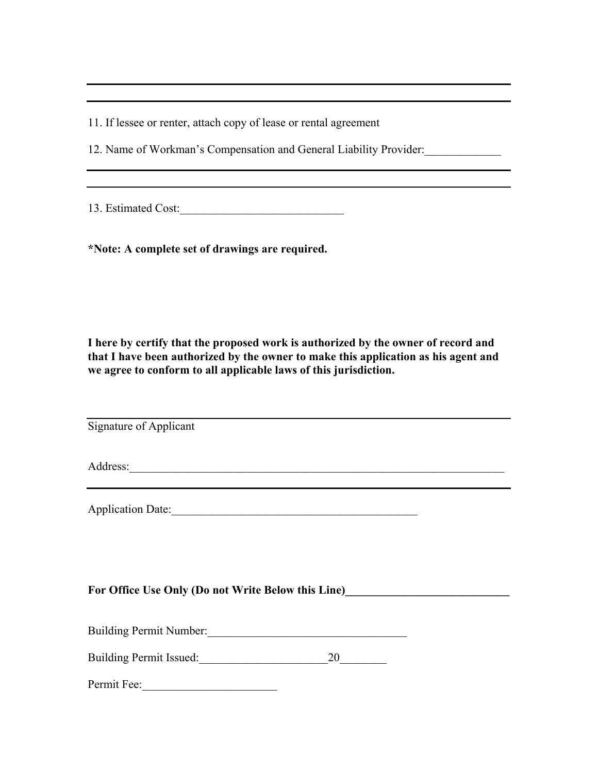11. If lessee or renter, attach copy of lease or rental agreement

12. Name of Workman's Compensation and General Liability Provider:

13. Estimated Cost:\_\_\_\_\_\_\_\_\_\_\_\_\_\_\_\_\_\_\_\_\_\_\_\_\_\_\_\_

**\*Note: A complete set of drawings are required.** 

**I here by certify that the proposed work is authorized by the owner of record and that I have been authorized by the owner to make this application as his agent and we agree to conform to all applicable laws of this jurisdiction.** 

Signature of Applicant

Address:

Application Date:

#### For Office Use Only (Do not Write Below this Line)

Building Permit Number:\_\_\_\_\_\_\_\_\_\_\_\_\_\_\_\_\_\_\_\_\_\_\_\_\_\_\_\_\_\_\_\_\_\_

Building Permit Issued: 20

Permit Fee: